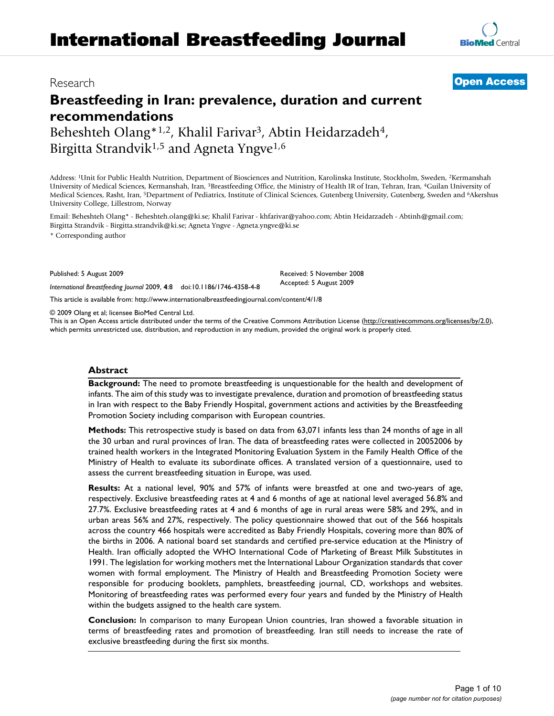# **Breastfeeding in Iran: prevalence, duration and current recommendations** Beheshteh Olang\*<sup>1,2</sup>, Khalil Farivar<sup>3</sup>, Abtin Heidarzadeh<sup>4</sup>,

Birgitta Strandvik<sup>1,5</sup> and Agneta Yngve<sup>1,6</sup>

Address: 1Unit for Public Health Nutrition, Department of Biosciences and Nutrition, Karolinska Institute, Stockholm, Sweden, 2Kermanshah University of Medical Sciences, Kermanshah, Iran, 3Breastfeeding Office, the Ministry of Health IR of Iran, Tehran, Iran, 4Guilan University of Medical Sciences, Rasht, Iran, 5Department of Pediatrics, Institute of Clinical Sciences, Gutenberg University, Gutenberg, Sweden and 6Akershus University College, Lillestrom, Norway

Email: Beheshteh Olang\* - Beheshteh.olang@ki.se; Khalil Farivar - khfarivar@yahoo.com; Abtin Heidarzadeh - Abtinh@gmail.com; Birgitta Strandvik - Birgitta.strandvik@ki.se; Agneta Yngve - Agneta.yngve@ki.se

\* Corresponding author

Published: 5 August 2009

*International Breastfeeding Journal* 2009, **4**:8 doi:10.1186/1746-4358-4-8

[This article is available from: http://www.internationalbreastfeedingjournal.com/content/4/1/8](http://www.internationalbreastfeedingjournal.com/content/4/1/8)

© 2009 Olang et al; licensee BioMed Central Ltd.

This is an Open Access article distributed under the terms of the Creative Commons Attribution License [\(http://creativecommons.org/licenses/by/2.0\)](http://creativecommons.org/licenses/by/2.0), which permits unrestricted use, distribution, and reproduction in any medium, provided the original work is properly cited.

Received: 5 November 2008 Accepted: 5 August 2009

#### **Abstract**

**Background:** The need to promote breastfeeding is unquestionable for the health and development of infants. The aim of this study was to investigate prevalence, duration and promotion of breastfeeding status in Iran with respect to the Baby Friendly Hospital, government actions and activities by the Breastfeeding Promotion Society including comparison with European countries.

**Methods:** This retrospective study is based on data from 63,071 infants less than 24 months of age in all the 30 urban and rural provinces of Iran. The data of breastfeeding rates were collected in 20052006 by trained health workers in the Integrated Monitoring Evaluation System in the Family Health Office of the Ministry of Health to evaluate its subordinate offices. A translated version of a questionnaire, used to assess the current breastfeeding situation in Europe, was used.

**Results:** At a national level, 90% and 57% of infants were breastfed at one and two-years of age, respectively. Exclusive breastfeeding rates at 4 and 6 months of age at national level averaged 56.8% and 27.7%. Exclusive breastfeeding rates at 4 and 6 months of age in rural areas were 58% and 29%, and in urban areas 56% and 27%, respectively. The policy questionnaire showed that out of the 566 hospitals across the country 466 hospitals were accredited as Baby Friendly Hospitals, covering more than 80% of the births in 2006. A national board set standards and certified pre-service education at the Ministry of Health. Iran officially adopted the WHO International Code of Marketing of Breast Milk Substitutes in 1991. The legislation for working mothers met the International Labour Organization standards that cover women with formal employment. The Ministry of Health and Breastfeeding Promotion Society were responsible for producing booklets, pamphlets, breastfeeding journal, CD, workshops and websites. Monitoring of breastfeeding rates was performed every four years and funded by the Ministry of Health within the budgets assigned to the health care system.

**Conclusion:** In comparison to many European Union countries, Iran showed a favorable situation in terms of breastfeeding rates and promotion of breastfeeding. Iran still needs to increase the rate of exclusive breastfeeding during the first six months.

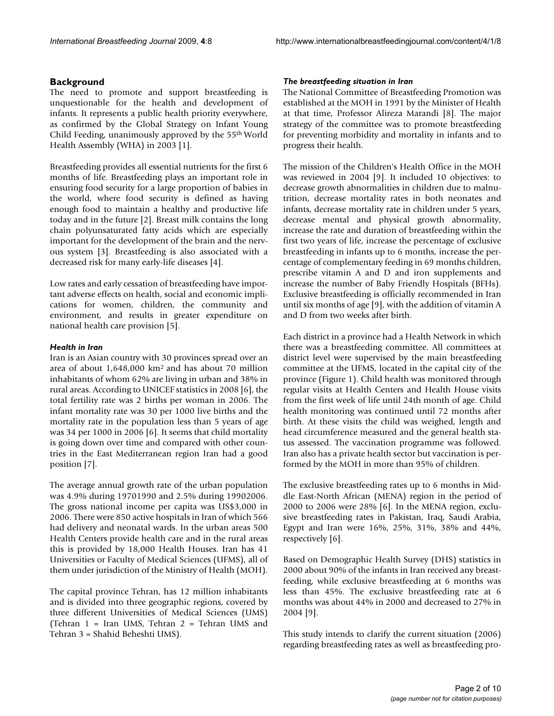# **Background**

The need to promote and support breastfeeding is unquestionable for the health and development of infants. It represents a public health priority everywhere, as confirmed by the Global Strategy on Infant Young Child Feeding, unanimously approved by the 55th World Health Assembly (WHA) in 2003 [1].

Breastfeeding provides all essential nutrients for the first 6 months of life. Breastfeeding plays an important role in ensuring food security for a large proportion of babies in the world, where food security is defined as having enough food to maintain a healthy and productive life today and in the future [[2](#page-8-0)]. Breast milk contains the long chain polyunsaturated fatty acids which are especially important for the development of the brain and the nervous system [3]. Breastfeeding is also associated with a decreased risk for many early-life diseases [[4\]](#page-8-1).

Low rates and early cessation of breastfeeding have important adverse effects on health, social and economic implications for women, children, the community and environment, and results in greater expenditure on national health care provision [5].

# *Health in Iran*

Iran is an Asian country with 30 provinces spread over an area of about 1,648,000 km2 and has about 70 million inhabitants of whom 62% are living in urban and 38% in rural areas. According to UNICEF statistics in 2008 [6], the total fertility rate was 2 births per woman in 2006. The infant mortality rate was 30 per 1000 live births and the mortality rate in the population less than 5 years of age was 34 per 1000 in 2006 [6]. It seems that child mortality is going down over time and compared with other countries in the East Mediterranean region Iran had a good position [7].

The average annual growth rate of the urban population was 4.9% during 19701990 and 2.5% during 19902006. The gross national income per capita was US\$3,000 in 2006. There were 850 active hospitals in Iran of which 566 had delivery and neonatal wards. In the urban areas 500 Health Centers provide health care and in the rural areas this is provided by 18,000 Health Houses. Iran has 41 Universities or Faculty of Medical Sciences (UFMS), all of them under jurisdiction of the Ministry of Health (MOH).

The capital province Tehran, has 12 million inhabitants and is divided into three geographic regions, covered by three different Universities of Medical Sciences (UMS) (Tehran 1 = Iran UMS, Tehran 2 = Tehran UMS and Tehran 3 = Shahid Beheshti UMS).

#### *The breastfeeding situation in Iran*

The National Committee of Breastfeeding Promotion was established at the MOH in 1991 by the Minister of Health at that time, Professor Alireza Marandi [8]. The major strategy of the committee was to promote breastfeeding for preventing morbidity and mortality in infants and to progress their health.

The mission of the Children's Health Office in the MOH was reviewed in 2004 [9]. It included 10 objectives: to decrease growth abnormalities in children due to malnutrition, decrease mortality rates in both neonates and infants, decrease mortality rate in children under 5 years, decrease mental and physical growth abnormality, increase the rate and duration of breastfeeding within the first two years of life, increase the percentage of exclusive breastfeeding in infants up to 6 months, increase the percentage of complementary feeding in 69 months children, prescribe vitamin A and D and iron supplements and increase the number of Baby Friendly Hospitals (BFHs). Exclusive breastfeeding is officially recommended in Iran until six months of age [9], with the addition of vitamin A and D from two weeks after birth.

Each district in a province had a Health Network in which there was a breastfeeding committee. All committees at district level were supervised by the main breastfeeding committee at the UFMS, located in the capital city of the province (Figure 1). Child health was monitored through regular visits at Health Centers and Health House visits from the first week of life until 24th month of age. Child health monitoring was continued until 72 months after birth. At these visits the child was weighed, length and head circumference measured and the general health status assessed. The vaccination programme was followed. Iran also has a private health sector but vaccination is performed by the MOH in more than 95% of children.

The exclusive breastfeeding rates up to 6 months in Middle East-North African (MENA) region in the period of 2000 to 2006 were 28% [6]. In the MENA region, exclusive breastfeeding rates in Pakistan, Iraq, Saudi Arabia, Egypt and Iran were 16%, 25%, 31%, 38% and 44%, respectively [6].

Based on Demographic Health Survey (DHS) statistics in 2000 about 90% of the infants in Iran received any breastfeeding, while exclusive breastfeeding at 6 months was less than 45%. The exclusive breastfeeding rate at 6 months was about 44% in 2000 and decreased to 27% in 2004 [9].

This study intends to clarify the current situation (2006) regarding breastfeeding rates as well as breastfeeding pro-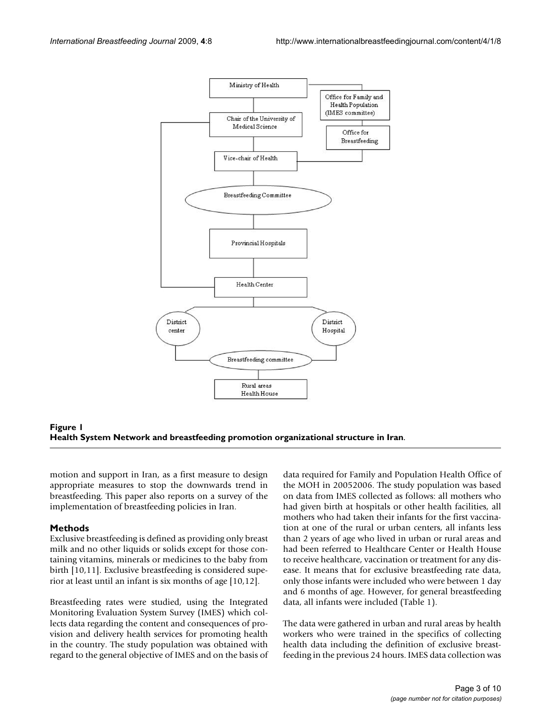



motion and support in Iran, as a first measure to design appropriate measures to stop the downwards trend in breastfeeding. This paper also reports on a survey of the implementation of breastfeeding policies in Iran.

#### **Methods**

Exclusive breastfeeding is defined as providing only breast milk and no other liquids or solids except for those containing vitamins, minerals or medicines to the baby from birth [10,11]. Exclusive breastfeeding is considered superior at least until an infant is six months of age [10,12].

Breastfeeding rates were studied, using the Integrated Monitoring Evaluation System Survey (IMES) which collects data regarding the content and consequences of provision and delivery health services for promoting health in the country. The study population was obtained with regard to the general objective of IMES and on the basis of data required for Family and Population Health Office of the MOH in 20052006. The study population was based on data from IMES collected as follows: all mothers who had given birth at hospitals or other health facilities, all mothers who had taken their infants for the first vaccination at one of the rural or urban centers, all infants less than 2 years of age who lived in urban or rural areas and had been referred to Healthcare Center or Health House to receive healthcare, vaccination or treatment for any disease. It means that for exclusive breastfeeding rate data, only those infants were included who were between 1 day and 6 months of age. However, for general breastfeeding data, all infants were included (Table 1).

The data were gathered in urban and rural areas by health workers who were trained in the specifics of collecting health data including the definition of exclusive breastfeeding in the previous 24 hours. IMES data collection was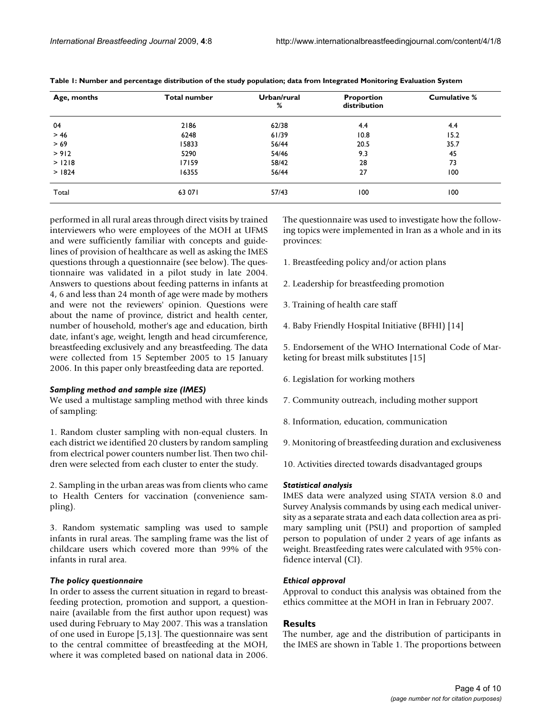| Age, months | <b>Total number</b> | Urban/rural<br>% | Proportion<br>distribution | <b>Cumulative %</b> |
|-------------|---------------------|------------------|----------------------------|---------------------|
| 04          | 2186                | 62/38            | 4.4                        | 4.4                 |
| $>46$       | 6248                | 61/39            | 10.8                       | 15.2                |
| >69         | 15833               | 56/44            | 20.5                       | 35.7                |
| > 912       | 5290                | 54/46            | 9.3                        | 45                  |
| > 1218      | 17159               | 58/42            | 28                         | 73                  |
| > 1824      | 16355               | 56/44            | 27                         | 100                 |
| Total       | 63 071              | 57/43            | 100                        | 100                 |

**Table 1: Number and percentage distribution of the study population; data from Integrated Monitoring Evaluation System**

performed in all rural areas through direct visits by trained interviewers who were employees of the MOH at UFMS and were sufficiently familiar with concepts and guidelines of provision of healthcare as well as asking the IMES questions through a questionnaire (see below). The questionnaire was validated in a pilot study in late 2004. Answers to questions about feeding patterns in infants at 4, 6 and less than 24 month of age were made by mothers and were not the reviewers' opinion. Questions were about the name of province, district and health center, number of household, mother's age and education, birth date, infant's age, weight, length and head circumference, breastfeeding exclusively and any breastfeeding. The data were collected from 15 September 2005 to 15 January 2006. In this paper only breastfeeding data are reported.

#### *Sampling method and sample size (IMES)*

We used a multistage sampling method with three kinds of sampling:

1. Random cluster sampling with non-equal clusters. In each district we identified 20 clusters by random sampling from electrical power counters number list. Then two children were selected from each cluster to enter the study.

2. Sampling in the urban areas was from clients who came to Health Centers for vaccination (convenience sampling).

3. Random systematic sampling was used to sample infants in rural areas. The sampling frame was the list of childcare users which covered more than 99% of the infants in rural area.

#### *The policy questionnaire*

In order to assess the current situation in regard to breastfeeding protection, promotion and support, a questionnaire (available from the first author upon request) was used during February to May 2007. This was a translation of one used in Europe [5,13]. The questionnaire was sent to the central committee of breastfeeding at the MOH, where it was completed based on national data in 2006.

The questionnaire was used to investigate how the following topics were implemented in Iran as a whole and in its provinces:

- 1. Breastfeeding policy and/or action plans
- 2. Leadership for breastfeeding promotion
- 3. Training of health care staff
- 4. Baby Friendly Hospital Initiative (BFHI) [14]

5. Endorsement of the WHO International Code of Marketing for breast milk substitutes [15]

- 6. Legislation for working mothers
- 7. Community outreach, including mother support
- 8. Information, education, communication

9. Monitoring of breastfeeding duration and exclusiveness

10. Activities directed towards disadvantaged groups

#### *Statistical analysis*

IMES data were analyzed using STATA version 8.0 and Survey Analysis commands by using each medical university as a separate strata and each data collection area as primary sampling unit (PSU) and proportion of sampled person to population of under 2 years of age infants as weight. Breastfeeding rates were calculated with 95% confidence interval (CI).

#### *Ethical approval*

Approval to conduct this analysis was obtained from the ethics committee at the MOH in Iran in February 2007.

#### **Results**

The number, age and the distribution of participants in the IMES are shown in Table 1. The proportions between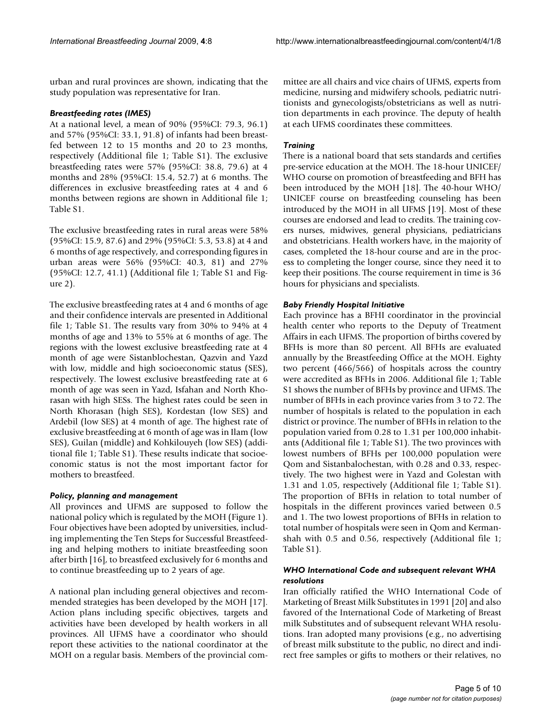urban and rural provinces are shown, indicating that the study population was representative for Iran.

#### *Breastfeeding rates (IMES)*

At a national level, a mean of 90% (95%CI: 79.3, 96.1) and 57% (95%CI: 33.1, 91.8) of infants had been breastfed between 12 to 15 months and 20 to 23 months, respectively (Additional file 1; Table S1). The exclusive breastfeeding rates were 57% (95%CI: 38.8, 79.6) at 4 months and 28% (95%CI: 15.4, 52.7) at 6 months. The differences in exclusive breastfeeding rates at 4 and 6 months between regions are shown in Additional file 1; Table S1.

The exclusive breastfeeding rates in rural areas were 58% (95%CI: 15.9, 87.6) and 29% (95%CI: 5.3, 53.8) at 4 and 6 months of age respectively, and corresponding figures in urban areas were 56% (95%CI: 40.3, 81) and 27% (95%CI: 12.7, 41.1) (Additional file 1; Table S1 and Figure 2).

The exclusive breastfeeding rates at 4 and 6 months of age and their confidence intervals are presented in Additional file 1; Table S1. The results vary from 30% to 94% at 4 months of age and 13% to 55% at 6 months of age. The regions with the lowest exclusive breastfeeding rate at 4 month of age were Sistanblochestan, Qazvin and Yazd with low, middle and high socioeconomic status (SES), respectively. The lowest exclusive breastfeeding rate at 6 month of age was seen in Yazd, Isfahan and North Khorasan with high SESs. The highest rates could be seen in North Khorasan (high SES), Kordestan (low SES) and Ardebil (low SES) at 4 month of age. The highest rate of exclusive breastfeeding at 6 month of age was in Ilam (low SES), Guilan (middle) and Kohkilouyeh (low SES) (additional file 1; Table S1). These results indicate that socioeconomic status is not the most important factor for mothers to breastfeed.

#### *Policy, planning and management*

All provinces and UFMS are supposed to follow the national policy which is regulated by the MOH (Figure 1). Four objectives have been adopted by universities, including implementing the Ten Steps for Successful Breastfeeding and helping mothers to initiate breastfeeding soon after birth [16], to breastfeed exclusively for 6 months and to continue breastfeeding up to 2 years of age.

A national plan including general objectives and recommended strategies has been developed by the MOH [17]. Action plans including specific objectives, targets and activities have been developed by health workers in all provinces. All UFMS have a coordinator who should report these activities to the national coordinator at the MOH on a regular basis. Members of the provincial committee are all chairs and vice chairs of UFMS, experts from medicine, nursing and midwifery schools, pediatric nutritionists and gynecologists/obstetricians as well as nutrition departments in each province. The deputy of health at each UFMS coordinates these committees.

# *Training*

There is a national board that sets standards and certifies pre-service education at the MOH. The 18-hour UNICEF/ WHO course on promotion of breastfeeding and BFH has been introduced by the MOH [18]. The 40-hour WHO/ UNICEF course on breastfeeding counseling has been introduced by the MOH in all UFMS [19]. Most of these courses are endorsed and lead to credits. The training covers nurses, midwives, general physicians, pediatricians and obstetricians. Health workers have, in the majority of cases, completed the 18-hour course and are in the process to completing the longer course, since they need it to keep their positions. The course requirement in time is 36 hours for physicians and specialists.

# *Baby Friendly Hospital Initiative*

Each province has a BFHI coordinator in the provincial health center who reports to the Deputy of Treatment Affairs in each UFMS. The proportion of births covered by BFHs is more than 80 percent. All BFHs are evaluated annually by the Breastfeeding Office at the MOH. Eighty two percent (466/566) of hospitals across the country were accredited as BFHs in 2006. Additional file 1; Table S1 shows the number of BFHs by province and UFMS. The number of BFHs in each province varies from 3 to 72. The number of hospitals is related to the population in each district or province. The number of BFHs in relation to the population varied from 0.28 to 1.31 per 100,000 inhabitants (Additional file 1; Table S1). The two provinces with lowest numbers of BFHs per 100,000 population were Qom and Sistanbalochestan, with 0.28 and 0.33, respectively. The two highest were in Yazd and Golestan with 1.31 and 1.05, respectively (Additional file 1; Table S1). The proportion of BFHs in relation to total number of hospitals in the different provinces varied between 0.5 and 1. The two lowest proportions of BFHs in relation to total number of hospitals were seen in Qom and Kermanshah with 0.5 and 0.56, respectively (Additional file 1; Table S1).

# *WHO International Code and subsequent relevant WHA resolutions*

Iran officially ratified the WHO International Code of Marketing of Breast Milk Substitutes in 1991 [20] and also favored of the International Code of Marketing of Breast milk Substitutes and of subsequent relevant WHA resolutions. Iran adopted many provisions (e.g., no advertising of breast milk substitute to the public, no direct and indirect free samples or gifts to mothers or their relatives, no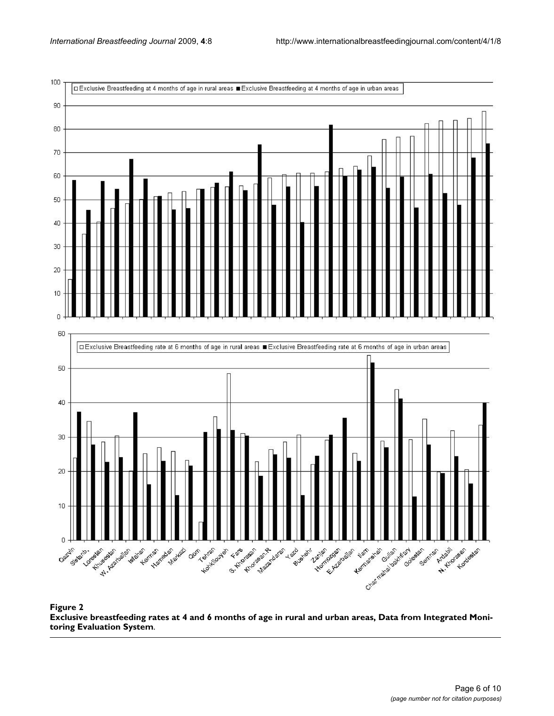

#### Exclusive breastfeeding rates at 4 and 6 months of age in rural System **Figure 2** and urban areas, Data from Integrated Monitoring Evaluation **Exclusive breastfeeding rates at 4 and 6 months of age in rural and urban areas, Data from Integrated Monitoring Evaluation System**.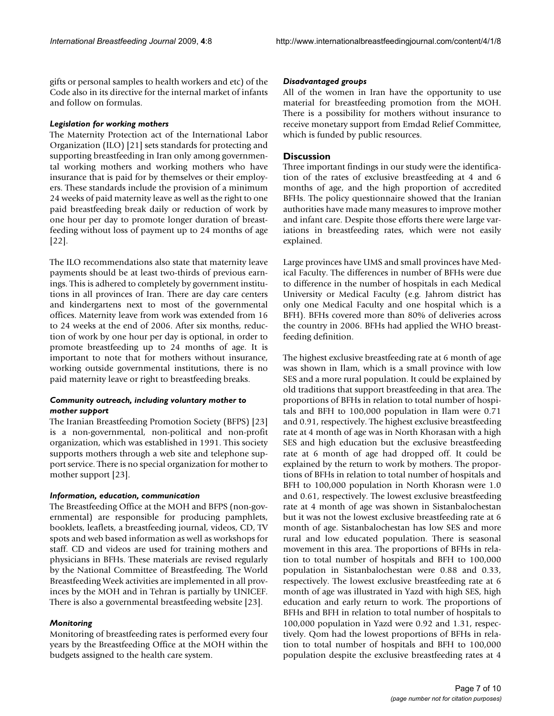gifts or personal samples to health workers and etc) of the Code also in its directive for the internal market of infants and follow on formulas.

#### *Legislation for working mothers*

The Maternity Protection act of the International Labor Organization (ILO) [21] sets standards for protecting and supporting breastfeeding in Iran only among governmental working mothers and working mothers who have insurance that is paid for by themselves or their employers. These standards include the provision of a minimum 24 weeks of paid maternity leave as well as the right to one paid breastfeeding break daily or reduction of work by one hour per day to promote longer duration of breastfeeding without loss of payment up to 24 months of age [22].

The ILO recommendations also state that maternity leave payments should be at least two-thirds of previous earnings. This is adhered to completely by government institutions in all provinces of Iran. There are day care centers and kindergartens next to most of the governmental offices. Maternity leave from work was extended from 16 to 24 weeks at the end of 2006. After six months, reduction of work by one hour per day is optional, in order to promote breastfeeding up to 24 months of age. It is important to note that for mothers without insurance, working outside governmental institutions, there is no paid maternity leave or right to breastfeeding breaks.

# *Community outreach, including voluntary mother to mother support*

The Iranian Breastfeeding Promotion Society (BFPS) [23] is a non-governmental, non-political and non-profit organization, which was established in 1991. This society supports mothers through a web site and telephone support service. There is no special organization for mother to mother support [23].

# *Information, education, communication*

The Breastfeeding Office at the MOH and BFPS (non-governmental) are responsible for producing pamphlets, booklets, leaflets, a breastfeeding journal, videos, CD, TV spots and web based information as well as workshops for staff. CD and videos are used for training mothers and physicians in BFHs. These materials are revised regularly by the National Committee of Breastfeeding. The World Breastfeeding Week activities are implemented in all provinces by the MOH and in Tehran is partially by UNICEF. There is also a governmental breastfeeding website [23].

# *Monitoring*

Monitoring of breastfeeding rates is performed every four years by the Breastfeeding Office at the MOH within the budgets assigned to the health care system.

#### *Disadvantaged groups*

All of the women in Iran have the opportunity to use material for breastfeeding promotion from the MOH. There is a possibility for mothers without insurance to receive monetary support from Emdad Relief Committee, which is funded by public resources.

# **Discussion**

Three important findings in our study were the identification of the rates of exclusive breastfeeding at 4 and 6 months of age, and the high proportion of accredited BFHs. The policy questionnaire showed that the Iranian authorities have made many measures to improve mother and infant care. Despite those efforts there were large variations in breastfeeding rates, which were not easily explained.

Large provinces have UMS and small provinces have Medical Faculty. The differences in number of BFHs were due to difference in the number of hospitals in each Medical University or Medical Faculty (e.g. Jahrom district has only one Medical Faculty and one hospital which is a BFH). BFHs covered more than 80% of deliveries across the country in 2006. BFHs had applied the WHO breastfeeding definition.

The highest exclusive breastfeeding rate at 6 month of age was shown in Ilam, which is a small province with low SES and a more rural population. It could be explained by old traditions that support breastfeeding in that area. The proportions of BFHs in relation to total number of hospitals and BFH to 100,000 population in Ilam were 0.71 and 0.91, respectively. The highest exclusive breastfeeding rate at 4 month of age was in North Khorasan with a high SES and high education but the exclusive breastfeeding rate at 6 month of age had dropped off. It could be explained by the return to work by mothers. The proportions of BFHs in relation to total number of hospitals and BFH to 100,000 population in North Khorasn were 1.0 and 0.61, respectively. The lowest exclusive breastfeeding rate at 4 month of age was shown in Sistanbalochestan but it was not the lowest exclusive breastfeeding rate at 6 month of age. Sistanbalochestan has low SES and more rural and low educated population. There is seasonal movement in this area. The proportions of BFHs in relation to total number of hospitals and BFH to 100,000 population in Sistanbalochestan were 0.88 and 0.33, respectively. The lowest exclusive breastfeeding rate at 6 month of age was illustrated in Yazd with high SES, high education and early return to work. The proportions of BFHs and BFH in relation to total number of hospitals to 100,000 population in Yazd were 0.92 and 1.31, respectively. Qom had the lowest proportions of BFHs in relation to total number of hospitals and BFH to 100,000 population despite the exclusive breastfeeding rates at 4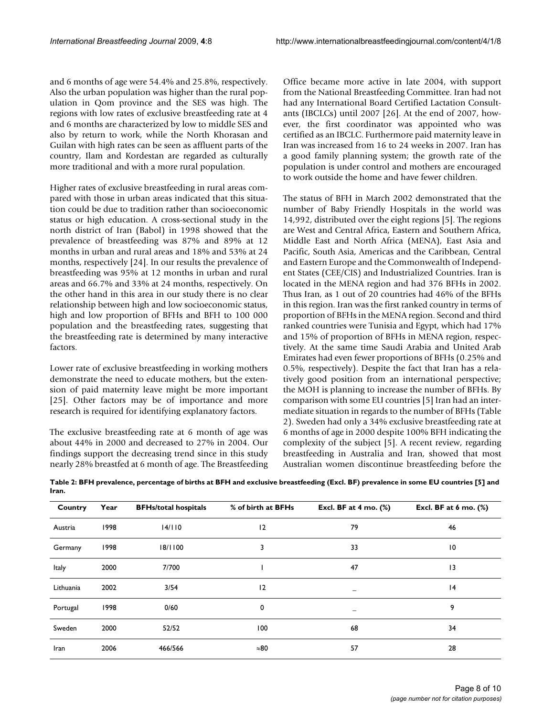and 6 months of age were 54.4% and 25.8%, respectively. Also the urban population was higher than the rural population in Qom province and the SES was high. The regions with low rates of exclusive breastfeeding rate at 4 and 6 months are characterized by low to middle SES and also by return to work, while the North Khorasan and Guilan with high rates can be seen as affluent parts of the country, Ilam and Kordestan are regarded as culturally more traditional and with a more rural population.

Higher rates of exclusive breastfeeding in rural areas compared with those in urban areas indicated that this situation could be due to tradition rather than socioeconomic status or high education. A cross-sectional study in the north district of Iran (Babol) in 1998 showed that the prevalence of breastfeeding was 87% and 89% at 12 months in urban and rural areas and 18% and 53% at 24 months, respectively [24]. In our results the prevalence of breastfeeding was 95% at 12 months in urban and rural areas and 66.7% and 33% at 24 months, respectively. On the other hand in this area in our study there is no clear relationship between high and low socioeconomic status, high and low proportion of BFHs and BFH to 100 000 population and the breastfeeding rates, suggesting that the breastfeeding rate is determined by many interactive factors.

Lower rate of exclusive breastfeeding in working mothers demonstrate the need to educate mothers, but the extension of paid maternity leave might be more important [25]. Other factors may be of importance and more research is required for identifying explanatory factors.

The exclusive breastfeeding rate at 6 month of age was about 44% in 2000 and decreased to 27% in 2004. Our findings support the decreasing trend since in this study nearly 28% breastfed at 6 month of age. The Breastfeeding Office became more active in late 2004, with support from the National Breastfeeding Committee. Iran had not had any International Board Certified Lactation Consultants (IBCLCs) until 2007 [26]. At the end of 2007, however, the first coordinator was appointed who was certified as an IBCLC. Furthermore paid maternity leave in Iran was increased from 16 to 24 weeks in 2007. Iran has a good family planning system; the growth rate of the population is under control and mothers are encouraged to work outside the home and have fewer children.

The status of BFH in March 2002 demonstrated that the number of Baby Friendly Hospitals in the world was 14,992, distributed over the eight regions [5]. The regions are West and Central Africa, Eastern and Southern Africa, Middle East and North Africa (MENA), East Asia and Pacific, South Asia, Americas and the Caribbean, Central and Eastern Europe and the Commonwealth of Independent States (CEE/CIS) and Industrialized Countries. Iran is located in the MENA region and had 376 BFHs in 2002. Thus Iran, as 1 out of 20 countries had 46% of the BFHs in this region. Iran was the first ranked country in terms of proportion of BFHs in the MENA region. Second and third ranked countries were Tunisia and Egypt, which had 17% and 15% of proportion of BFHs in MENA region, respectively. At the same time Saudi Arabia and United Arab Emirates had even fewer proportions of BFHs (0.25% and 0.5%, respectively). Despite the fact that Iran has a relatively good position from an international perspective; the MOH is planning to increase the number of BFHs. By comparison with some EU countries [5] Iran had an intermediate situation in regards to the number of BFHs (Table 2). Sweden had only a 34% exclusive breastfeeding rate at 6 months of age in 2000 despite 100% BFH indicating the complexity of the subject [5]. A recent review, regarding breastfeeding in Australia and Iran, showed that most Australian women discontinue breastfeeding before the

| Country   | Year | <b>BFHs/total hospitals</b> | % of birth at BFHs | Excl. BF at 4 mo. (%) | Excl. BF at $6$ mo. $(\%)$ |
|-----------|------|-----------------------------|--------------------|-----------------------|----------------------------|
| Austria   | 1998 | 14/110                      | 12                 | 79                    | 46                         |
| Germany   | 1998 | 18/1100                     | 3                  | 33                    | $\overline{10}$            |
| Italy     | 2000 | 7/700                       |                    | 47                    | 3                          |
| Lithuania | 2002 | 3/54                        | 12                 |                       | 4                          |
| Portugal  | 1998 | 0/60                        | 0                  | -                     | 9                          |
| Sweden    | 2000 | 52/52                       | 100                | 68                    | 34                         |
| Iran      | 2006 | 466/566                     | $\approx 80$       | 57                    | 28                         |

**Table 2: BFH prevalence, percentage of births at BFH and exclusive breastfeeding (Excl. BF) prevalence in some EU countries [5] and Iran.**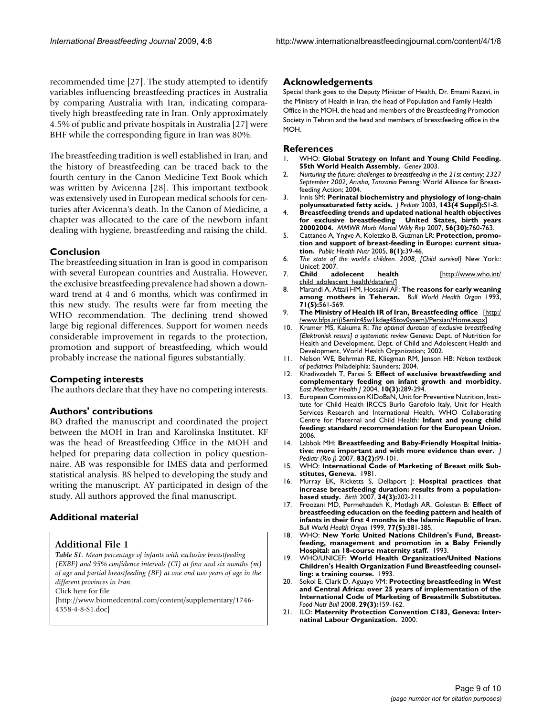recommended time [27]. The study attempted to identify variables influencing breastfeeding practices in Australia by comparing Australia with Iran, indicating comparatively high breastfeeding rate in Iran. Only approximately 4.5% of public and private hospitals in Australia [27] were BHF while the corresponding figure in Iran was 80%.

The breastfeeding tradition is well established in Iran, and the history of breastfeeding can be traced back to the fourth century in the Canon Medicine Text Book which was written by Avicenna [28]. This important textbook was extensively used in European medical schools for centuries after Avicenna's death. In the Canon of Medicine, a chapter was allocated to the care of the newborn infant dealing with hygiene, breastfeeding and raising the child.

# **Conclusion**

The breastfeeding situation in Iran is good in comparison with several European countries and Australia. However, the exclusive breastfeeding prevalence had shown a downward trend at 4 and 6 months, which was confirmed in this new study. The results were far from meeting the WHO recommendation. The declining trend showed large big regional differences. Support for women needs considerable improvement in regards to the protection, promotion and support of breastfeeding, which would probably increase the national figures substantially.

# **Competing interests**

The authors declare that they have no competing interests.

#### **Authors' contributions**

BO drafted the manuscript and coordinated the project between the MOH in Iran and Karolinska Institutet. KF was the head of Breastfeeding Office in the MOH and helped for preparing data collection in policy questionnaire. AB was responsible for IMES data and performed statistical analysis. BS helped to developing the study and writing the manuscript. AY participated in design of the study. All authors approved the final manuscript.

# **Additional material**

#### **Additional File 1**

*Table S1. Mean percentage of infants with exclusive breastfeeding (EXBF) and 95% confidence intervals (CI) at four and six months (m) of age and partial breastfeeding (BF) at one and two years of age in the different provinces in Iran.*

Click here for file

[\[http://www.biomedcentral.com/content/supplementary/1746-](http://www.biomedcentral.com/content/supplementary/1746-4358-4-8-S1.doc) 4358-4-8-S1.doc]

#### **Acknowledgements**

Special thank goes to the Deputy Minister of Health, Dr. Emami Razavi, in the Ministry of Health in Iran, the head of Population and Family Health Office in the MOH, the head and members of the Breastfeeding Promotion Society in Tehran and the head and members of breastfeeding office in the MOH.

#### **References**

- 1. WHO: **Global Strategy on Infant and Young Child Feeding. 55th World Health Assembly.** *Genev* 2003.
- <span id="page-8-0"></span>2. *Nurturing the future: challenges to breastfeeding in the 21st century; 2327 September 2002, Arusha, Tanzania* Penang: World Alliance for Breastfeeding Action; 2004.
- 3. Innis SM: **[Perinatal biochemistry and physiology of long-chain](http://www.ncbi.nlm.nih.gov/entrez/query.fcgi?cmd=Retrieve&db=PubMed&dopt=Abstract&list_uids=14597908) [polyunsaturated fatty acids.](http://www.ncbi.nlm.nih.gov/entrez/query.fcgi?cmd=Retrieve&db=PubMed&dopt=Abstract&list_uids=14597908)** *J Pediatr* 2003, **143(4 Suppl):**S1-8.
- <span id="page-8-1"></span>4. **[Breastfeeding trends and updated national health objectives](http://www.ncbi.nlm.nih.gov/entrez/query.fcgi?cmd=Retrieve&db=PubMed&dopt=Abstract&list_uids=17673896) [for exclusive breastfeeding United States, birth years](http://www.ncbi.nlm.nih.gov/entrez/query.fcgi?cmd=Retrieve&db=PubMed&dopt=Abstract&list_uids=17673896) [20002004.](http://www.ncbi.nlm.nih.gov/entrez/query.fcgi?cmd=Retrieve&db=PubMed&dopt=Abstract&list_uids=17673896)** *MMWR Morb Mortal Wkly Rep* 2007, **56(30):**760-763.
- 5. Cattaneo A, Yngve A, Koletzko B, Guzman LR: **[Protection, promo](http://www.ncbi.nlm.nih.gov/entrez/query.fcgi?cmd=Retrieve&db=PubMed&dopt=Abstract&list_uids=15705244)[tion and support of breast-feeding in Europe: current situa](http://www.ncbi.nlm.nih.gov/entrez/query.fcgi?cmd=Retrieve&db=PubMed&dopt=Abstract&list_uids=15705244)[tion.](http://www.ncbi.nlm.nih.gov/entrez/query.fcgi?cmd=Retrieve&db=PubMed&dopt=Abstract&list_uids=15705244)** *Public Health Nutr* 2005, **8(1):**39-46.
- 6. *The state of the world's children. 2008, [Child survival]* New York:: Unicef; 2007.<br>Child adolecent
- 7. **Child adolecent health** [[http://www.who.int/](http://www.who.int/child_adolescent_health/data/en/) child\_adolescent\_health/data/en/1
- 8. Marandi A, Afzali HM, Hossaini AF: **[The reasons for early weaning](http://www.ncbi.nlm.nih.gov/entrez/query.fcgi?cmd=Retrieve&db=PubMed&dopt=Abstract&list_uids=8261559) [among mothers in Teheran.](http://www.ncbi.nlm.nih.gov/entrez/query.fcgi?cmd=Retrieve&db=PubMed&dopt=Abstract&list_uids=8261559)** *Bull World Health Organ* 1993, **71(5):**561-569.
- 9. **The Ministry of Health IR of Iran, Breastfeeding office** [[http:/](http://www.bfps.ir/(i5emlr45w1kdeg45tov0ysem)/Persian/Home.aspx) [/www.bfps.ir/\(i5emlr45w1kdeg45tov0ysem\)/Persian/Home.aspx](http://www.bfps.ir/(i5emlr45w1kdeg45tov0ysem)/Persian/Home.aspx)]
- 10. Kramer MS, Kakuma R: *The optimal duration of exclusive breastfeeding [Elektronisk resurs] a systematic review* Geneva: Dept. of Nutrition for Health and Development, Dept. of Child and Adolescent Health and Development, World Health Organization; 2002.
- 11. Nelson WE, Behrman RE, Kliegman RM, Jenson HB: *Nelson textbook of pediatrics* Philadelphia: Saunders; 2004.
- 12. Khadivzadeh T, Parsai S: **[Effect of exclusive breastfeeding and](http://www.ncbi.nlm.nih.gov/entrez/query.fcgi?cmd=Retrieve&db=PubMed&dopt=Abstract&list_uids=16212203) [complementary feeding on infant growth and morbidity.](http://www.ncbi.nlm.nih.gov/entrez/query.fcgi?cmd=Retrieve&db=PubMed&dopt=Abstract&list_uids=16212203)** *East Mediterr Health J* 2004, **10(3):**289-294.
- 13. European Commission KIDoBaN, Unit for Preventive Nutrition, Institute for Child Health IRCCS Burlo Garofolo Italy, Unit for Health Services Research and International Health, WHO Collaborating Centre for Maternal and Child Health: **Infant and young child feeding: standard recommendation for the European Union.** 2006.
- 14. Labbok MH: **[Breastfeeding and Baby-Friendly Hospital Initia](http://www.ncbi.nlm.nih.gov/entrez/query.fcgi?cmd=Retrieve&db=PubMed&dopt=Abstract&list_uids=17426867)[tive: more important and with more evidence than ever.](http://www.ncbi.nlm.nih.gov/entrez/query.fcgi?cmd=Retrieve&db=PubMed&dopt=Abstract&list_uids=17426867)** *J Pediatr (Rio J)* 2007, **83(2):**99-101.
- 15. WHO: **International Code of Marketing of Breast milk Substitutes, Geneva.** 1981.
- 16. Murray EK, Ricketts S, Dellaport J: **[Hospital practices that](http://www.ncbi.nlm.nih.gov/entrez/query.fcgi?cmd=Retrieve&db=PubMed&dopt=Abstract&list_uids=17718870) [increase breastfeeding duration: results from a population](http://www.ncbi.nlm.nih.gov/entrez/query.fcgi?cmd=Retrieve&db=PubMed&dopt=Abstract&list_uids=17718870)[based study.](http://www.ncbi.nlm.nih.gov/entrez/query.fcgi?cmd=Retrieve&db=PubMed&dopt=Abstract&list_uids=17718870)** *Birth* 2007, **34(3):**202-211.
- 17. Froozani MD, Permehzadeh K, Motlagh AR, Golestan B: **[Effect of](http://www.ncbi.nlm.nih.gov/entrez/query.fcgi?cmd=Retrieve&db=PubMed&dopt=Abstract&list_uids=10361754) [breastfeeding education on the feeding pattern and health of](http://www.ncbi.nlm.nih.gov/entrez/query.fcgi?cmd=Retrieve&db=PubMed&dopt=Abstract&list_uids=10361754) infants in their first 4 months in the Islamic Republic of Iran.** *Bull World Health Organ* 1999, **77(5):**381-385.
- 18. WHO: **New York: United Nations Children's Fund, Breastfeeding, management and promotion in a Baby Friendly Hospital: an 18-course maternity staff.** 1993.
- 19. WHO/UNICEF: **World Health Organization/United Nations Children's Health Organization Fund Breastfeeding counselling: a training course.** 1993.
- 20. Sokol E, Clark D, Aguayo VM: **[Protecting breastfeeding in West](http://www.ncbi.nlm.nih.gov/entrez/query.fcgi?cmd=Retrieve&db=PubMed&dopt=Abstract&list_uids=18947028) [and Central Africa: over 25 years of implementation of the](http://www.ncbi.nlm.nih.gov/entrez/query.fcgi?cmd=Retrieve&db=PubMed&dopt=Abstract&list_uids=18947028) International Code of Marketing of Breastmilk Substitutes.** *Food Nutr Bull* 2008, **29(3):**159-162.
- 21. ILO: **Maternity Protection Convention C183, Geneva: Internatinal Labour Organization.** 2000.